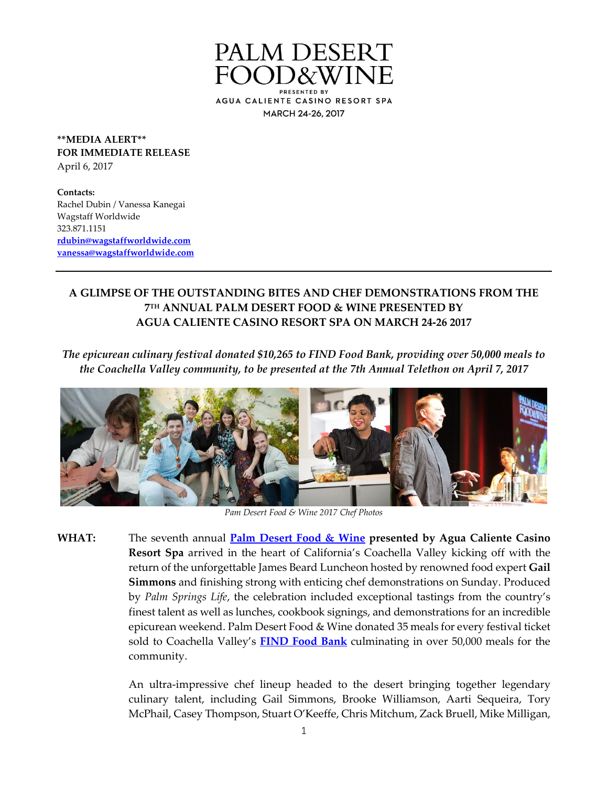

**\*\*MEDIA ALERT\*\* FOR IMMEDIATE RELEASE** April 6, 2017

**Contacts:** Rachel Dubin / Vanessa Kanegai Wagstaff Worldwide 323.871.1151 **[rdubin@wagstaffworldwide.com](mailto:rdubin@wagstaffworldwide.com) [vanessa@wagstaffworldwide.com](mailto:morgan@wagstaffworldwide.com)**

# **A GLIMPSE OF THE OUTSTANDING BITES AND CHEF DEMONSTRATIONS FROM THE 7 TH ANNUAL PALM DESERT FOOD & WINE PRESENTED BY AGUA CALIENTE CASINO RESORT SPA ON MARCH 24-26 2017**

*The epicurean culinary festival donated \$10,265 to FIND Food Bank, providing over 50,000 meals to the Coachella Valley community, to be presented at the 7th Annual Telethon on April 7, 2017*



*Pam Desert Food & Wine 2017 Chef Photos*

**WHAT:** The seventh annual **[Palm Desert Food & Wine](http://www.palmdesertfoodandwine.com/) presented by Agua Caliente Casino Resort Spa** arrived in the heart of California's Coachella Valley kicking off with the return of the unforgettable James Beard Luncheon hosted by renowned food expert **Gail Simmons** and finishing strong with enticing chef demonstrations on Sunday. Produced by *Palm Springs Life*, the celebration included exceptional tastings from the country's finest talent as well as lunches, cookbook signings, and demonstrations for an incredible epicurean weekend. Palm Desert Food & Wine donated 35 meals for every festival ticket sold to Coachella Valley's **[FIND Food Bank](http://findfoodbank.org/)** culminating in over 50,000 meals for the community.

> An ultra-impressive chef lineup headed to the desert bringing together legendary culinary talent, including Gail Simmons, Brooke Williamson, Aarti Sequeira, Tory McPhail, Casey Thompson, Stuart O'Keeffe, Chris Mitchum, Zack Bruell, Mike Milligan,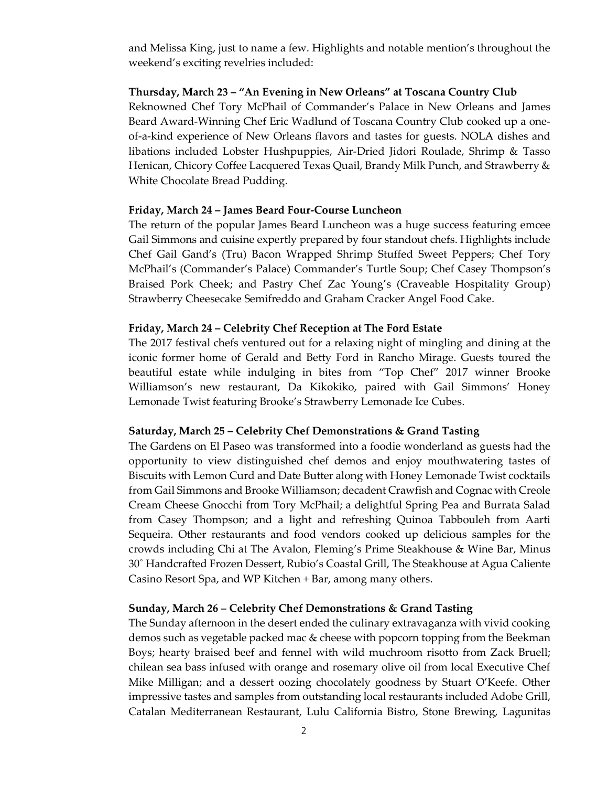and Melissa King, just to name a few. Highlights and notable mention's throughout the weekend's exciting revelries included:

### **Thursday, March 23 – "An Evening in New Orleans" at Toscana Country Club**

Reknowned Chef Tory McPhail of Commander's Palace in New Orleans and James Beard Award-Winning Chef Eric Wadlund of Toscana Country Club cooked up a oneof-a-kind experience of New Orleans flavors and tastes for guests. NOLA dishes and libations included Lobster Hushpuppies, Air-Dried Jidori Roulade, Shrimp & Tasso Henican, Chicory Coffee Lacquered Texas Quail, Brandy Milk Punch, and Strawberry & White Chocolate Bread Pudding.

## **Friday, March 24 – James Beard Four-Course Luncheon**

The return of the popular James Beard Luncheon was a huge success featuring emcee Gail Simmons and cuisine expertly prepared by four standout chefs. Highlights include Chef Gail Gand's (Tru) Bacon Wrapped Shrimp Stuffed Sweet Peppers; Chef Tory McPhail's (Commander's Palace) Commander's Turtle Soup; Chef Casey Thompson's Braised Pork Cheek; and Pastry Chef Zac Young's (Craveable Hospitality Group) Strawberry Cheesecake Semifreddo and Graham Cracker Angel Food Cake.

## **Friday, March 24 – Celebrity Chef Reception at The Ford Estate**

The 2017 festival chefs ventured out for a relaxing night of mingling and dining at the iconic former home of Gerald and Betty Ford in Rancho Mirage. Guests toured the beautiful estate while indulging in bites from "Top Chef" 2017 winner Brooke Williamson's new restaurant, Da Kikokiko, paired with Gail Simmons' Honey Lemonade Twist featuring Brooke's Strawberry Lemonade Ice Cubes.

### **Saturday, March 25 – Celebrity Chef Demonstrations & Grand Tasting**

The Gardens on El Paseo was transformed into a foodie wonderland as guests had the opportunity to view distinguished chef demos and enjoy mouthwatering tastes of Biscuits with Lemon Curd and Date Butter along with Honey Lemonade Twist cocktails from Gail Simmons and Brooke Williamson; decadent Crawfish and Cognac with Creole Cream Cheese Gnocchi from Tory McPhail; a delightful Spring Pea and Burrata Salad from Casey Thompson; and a light and refreshing Quinoa Tabbouleh from Aarti Sequeira. Other restaurants and food vendors cooked up delicious samples for the crowds including Chi at The Avalon, Fleming's Prime Steakhouse & Wine Bar, Minus 30˚ Handcrafted Frozen Dessert, Rubio's Coastal Grill, The Steakhouse at Agua Caliente Casino Resort Spa, and WP Kitchen + Bar, among many others.

### **Sunday, March 26 – Celebrity Chef Demonstrations & Grand Tasting**

The Sunday afternoon in the desert ended the culinary extravaganza with vivid cooking demos such as vegetable packed mac & cheese with popcorn topping from the Beekman Boys; hearty braised beef and fennel with wild muchroom risotto from Zack Bruell; chilean sea bass infused with orange and rosemary olive oil from local Executive Chef Mike Milligan; and a dessert oozing chocolately goodness by Stuart O'Keefe. Other impressive tastes and samples from outstanding local restaurants included Adobe Grill, Catalan Mediterranean Restaurant, Lulu California Bistro, Stone Brewing, Lagunitas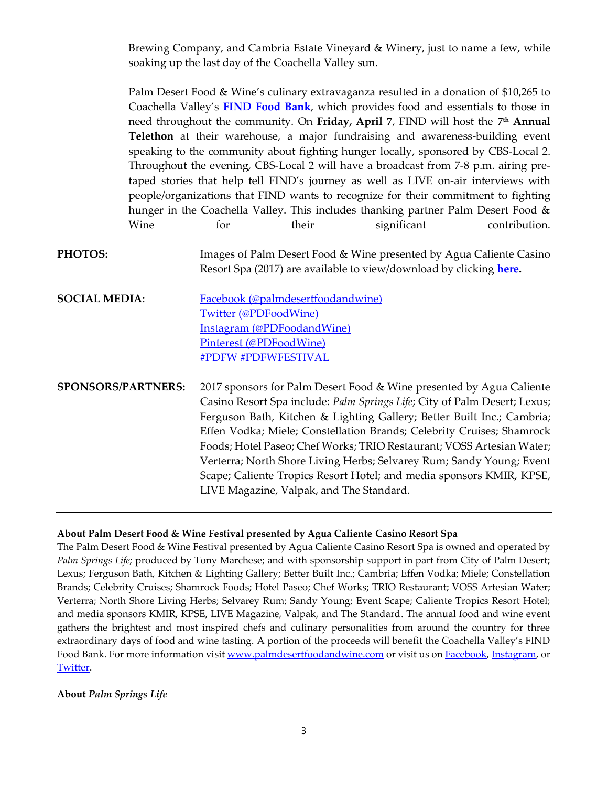Brewing Company, and Cambria Estate Vineyard & Winery, just to name a few, while soaking up the last day of the Coachella Valley sun.

Palm Desert Food & Wine's culinary extravaganza resulted in a donation of \$10,265 to Coachella Valley's **[FIND Food Bank](http://findfoodbank.org/)**, which provides food and essentials to those in need throughout the community. On **Friday, April 7**, FIND will host the **7 th Annual Telethon** at their warehouse, a major fundraising and awareness-building event speaking to the community about fighting hunger locally, sponsored by CBS-Local 2. Throughout the evening, CBS-Local 2 will have a broadcast from 7-8 p.m. airing pretaped stories that help tell FIND's journey as well as LIVE on-air interviews with people/organizations that FIND wants to recognize for their commitment to fighting hunger in the Coachella Valley. This includes thanking partner Palm Desert Food & Wine for their significant contribution.

- **PHOTOS:** Images of Palm Desert Food & Wine presented by Agua Caliente Casino Resort Spa (2017) are available to view/download by clicking **[here.](https://www.dropbox.com/sc/7a6sdbmkl0eb6xe/AAAM4rz5kcNKXMS7y9bErP_9a)**
- **SOCIAL MEDIA:** [Facebook \(@palmdesertfoodandwine\)](https://www.facebook.com/palmdesertfoodandwine?ref=hl) [Twitter \(@PDFoodWine\)](https://twitter.com/PDFoodwine) [Instagram \(@PDFoodandWine\)](https://www.instagram.com/PDfoodandwine/) [Pinterest \(@PDFoodWine\)](https://www.pinterest.com/PDFoodWine/) #PDFW #PDFWFESTIVAL

**SPONSORS/PARTNERS:** 2017 sponsors for Palm Desert Food & Wine presented by Agua Caliente Casino Resort Spa include: *Palm Springs Life*; City of Palm Desert; Lexus; Ferguson Bath, Kitchen & Lighting Gallery; Better Built Inc.; Cambria; Effen Vodka; Miele; Constellation Brands; Celebrity Cruises; Shamrock Foods; Hotel Paseo; Chef Works; TRIO Restaurant; VOSS Artesian Water; Verterra; North Shore Living Herbs; Selvarey Rum; Sandy Young; Event Scape; Caliente Tropics Resort Hotel; and media sponsors KMIR, KPSE, LIVE Magazine, Valpak, and The Standard.

### **About Palm Desert Food & Wine Festival presented by Agua Caliente Casino Resort Spa**

The Palm Desert Food & Wine Festival presented by Agua Caliente Casino Resort Spa is owned and operated by *Palm Springs Life;* produced by Tony Marchese; and with sponsorship support in part from City of Palm Desert; Lexus; Ferguson Bath, Kitchen & Lighting Gallery; Better Built Inc.; Cambria; Effen Vodka; Miele; Constellation Brands; Celebrity Cruises; Shamrock Foods; Hotel Paseo; Chef Works; TRIO Restaurant; VOSS Artesian Water; Verterra; North Shore Living Herbs; Selvarey Rum; Sandy Young; Event Scape; Caliente Tropics Resort Hotel; and media sponsors KMIR, KPSE, LIVE Magazine, Valpak, and The Standard. The annual food and wine event gathers the brightest and most inspired chefs and culinary personalities from around the country for three extraordinary days of food and wine tasting. A portion of the proceeds will benefit the Coachella Valley's FIND Food Bank. For more information visit [www.palmdesertfoodandwine.com](http://www.palmdesertfoodandwine.com/) or visit us o[n Facebook,](https://www.facebook.com/palmdesertfoodandwine) [Instagram,](https://instagram.com/PDfoodandwine/) or [Twitter.](https://twitter.com/PDFoodWine)

### **About** *Palm Springs Life*